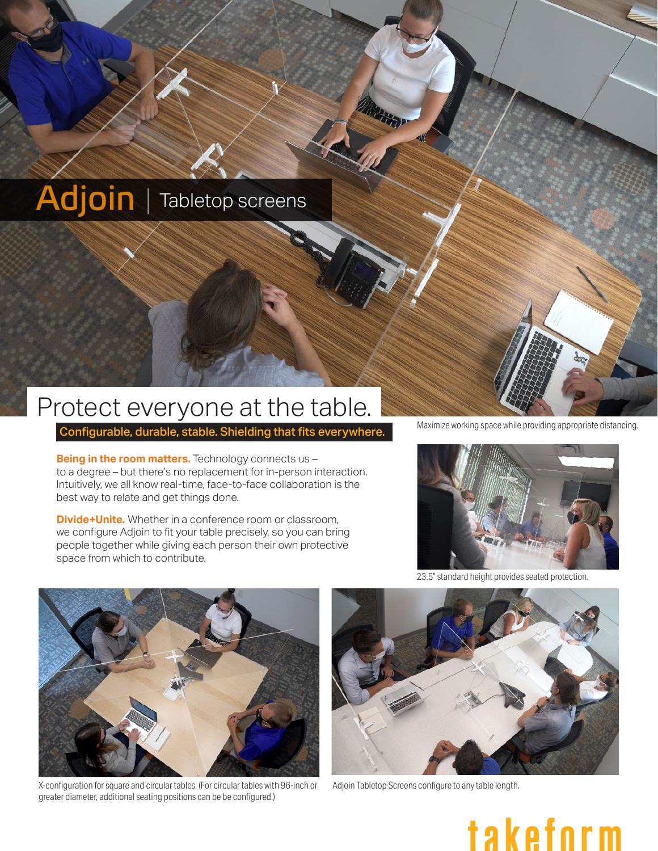# Adjoin | Tabletop screens

## Protect everyone at the table.

Configurable, durable, stable. Shielding that fits everywhere.

**Being in the room matters.** Technology connects us to a degree – but there's no replacement for in-person interaction. Intuitively, we all know real-time, face-to-face collaboration is the best way to relate and get things done.

**Divide+Unite.** Whether in a conference room or classroom, we configure Adjoin to fit your table precisely, so you can bring people together while giving each person their own protective space from which to contribute.

Maximize working space while providing appropriate distancing.



Adjoin Tabletop Screens configure to any table length.



X-configuration for square and circular tables. (For circular tables with 96-inch or greater diameter, additional seating positions can be be configured.)